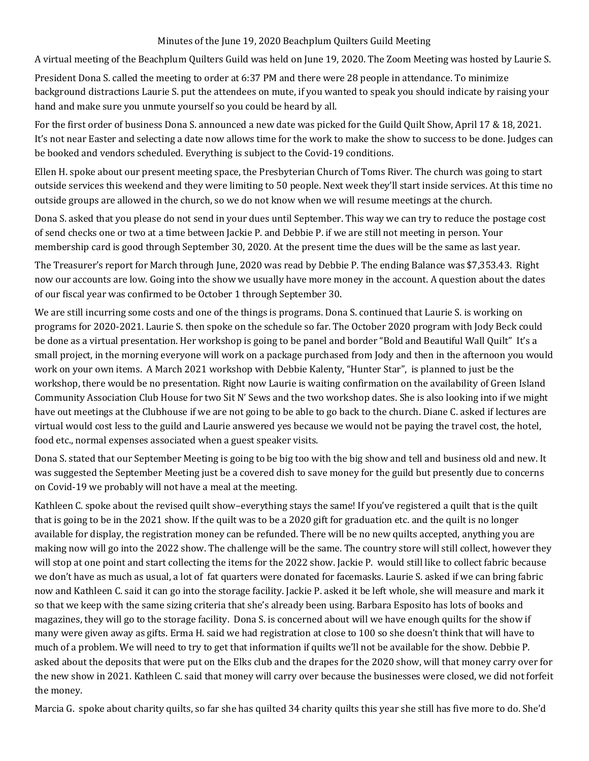## Minutes of the June 19, 2020 Beachplum Quilters Guild Meeting

A virtual meeting of the Beachplum Quilters Guild was held on June 19, 2020. The Zoom Meeting was hosted by Laurie S.

President Dona S. called the meeting to order at 6:37 PM and there were 28 people in attendance. To minimize background distractions Laurie S. put the attendees on mute, if you wanted to speak you should indicate by raising your hand and make sure you unmute yourself so you could be heard by all.

For the first order of business Dona S. announced a new date was picked for the Guild Quilt Show, April 17 & 18, 2021. It's not near Easter and selecting a date now allows time for the work to make the show to success to be done. Judges can be booked and vendors scheduled. Everything is subject to the Covid-19 conditions.

Ellen H. spoke about our present meeting space, the Presbyterian Church of Toms River. The church was going to start outside services this weekend and they were limiting to 50 people. Next week they'll start inside services. At this time no outside groups are allowed in the church, so we do not know when we will resume meetings at the church.

Dona S. asked that you please do not send in your dues until September. This way we can try to reduce the postage cost of send checks one or two at a time between Jackie P. and Debbie P. if we are still not meeting in person. Your membership card is good through September 30, 2020. At the present time the dues will be the same as last year.

The Treasurer's report for March through June, 2020 was read by Debbie P. The ending Balance was \$7,353.43. Right now our accounts are low. Going into the show we usually have more money in the account. A question about the dates of our fiscal year was confirmed to be October 1 through September 30.

We are still incurring some costs and one of the things is programs. Dona S. continued that Laurie S. is working on programs for 2020-2021. Laurie S. then spoke on the schedule so far. The October 2020 program with Jody Beck could be done as a virtual presentation. Her workshop is going to be panel and border "Bold and Beautiful Wall Quilt" It's a small project, in the morning everyone will work on a package purchased from Jody and then in the afternoon you would work on your own items. A March 2021 workshop with Debbie Kalenty, "Hunter Star", is planned to just be the workshop, there would be no presentation. Right now Laurie is waiting confirmation on the availability of Green Island Community Association Club House for two Sit N' Sews and the two workshop dates. She is also looking into if we might have out meetings at the Clubhouse if we are not going to be able to go back to the church. Diane C. asked if lectures are virtual would cost less to the guild and Laurie answered yes because we would not be paying the travel cost, the hotel, food etc., normal expenses associated when a guest speaker visits.

Dona S. stated that our September Meeting is going to be big too with the big show and tell and business old and new. It was suggested the September Meeting just be a covered dish to save money for the guild but presently due to concerns on Covid-19 we probably will not have a meal at the meeting.

Kathleen C. spoke about the revised quilt show–everything stays the same! If you've registered a quilt that is the quilt that is going to be in the 2021 show. If the quilt was to be a 2020 gift for graduation etc. and the quilt is no longer available for display, the registration money can be refunded. There will be no new quilts accepted, anything you are making now will go into the 2022 show. The challenge will be the same. The country store will still collect, however they will stop at one point and start collecting the items for the 2022 show. Jackie P. would still like to collect fabric because we don't have as much as usual, a lot of fat quarters were donated for facemasks. Laurie S. asked if we can bring fabric now and Kathleen C. said it can go into the storage facility. Jackie P. asked it be left whole, she will measure and mark it so that we keep with the same sizing criteria that she's already been using. Barbara Esposito has lots of books and magazines, they will go to the storage facility. Dona S. is concerned about will we have enough quilts for the show if many were given away as gifts. Erma H. said we had registration at close to 100 so she doesn't think that will have to much of a problem. We will need to try to get that information if quilts we'll not be available for the show. Debbie P. asked about the deposits that were put on the Elks club and the drapes for the 2020 show, will that money carry over for the new show in 2021. Kathleen C. said that money will carry over because the businesses were closed, we did not forfeit the money.

Marcia G. spoke about charity quilts, so far she has quilted 34 charity quilts this year she still has five more to do. She'd